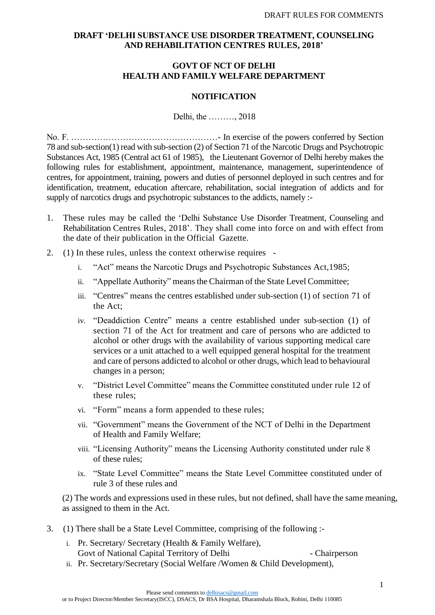# **DRAFT 'DELHI SUBSTANCE USE DISORDER TREATMENT, COUNSELING AND REHABILITATION CENTRES RULES, 2018'**

# **GOVT OF NCT OF DELHI HEALTH AND FAMILY WELFARE DEPARTMENT**

#### **NOTIFICATION**

Delhi, the ………, 2018

No. F. ……………………………………………- In exercise of the powers conferred by Section 78 and sub-section(1) read with sub-section (2) of Section 71 of the Narcotic Drugs and Psychotropic Substances Act, 1985 (Central act 61 of 1985), the Lieutenant Governor of Delhi hereby makes the following rules for establishment, appointment, maintenance, management, superintendence of centres, for appointment, training, powers and duties of personnel deployed in such centres and for identification, treatment, education aftercare, rehabilitation, social integration of addicts and for supply of narcotics drugs and psychotropic substances to the addicts, namely :-

- 1. These rules may be called the 'Delhi Substance Use Disorder Treatment, Counseling and Rehabilitation Centres Rules, 2018'. They shall come into force on and with effect from the date of their publication in the Official Gazette.
- 2. (1) In these rules, unless the context otherwise requires
	- i. "Act" means the Narcotic Drugs and Psychotropic Substances Act,1985;
	- ii. "Appellate Authority" means the Chairman of the State Level Committee;
	- iii. "Centres" means the centres established under sub-section (1) of section 71 of the Act;
	- iv. "Deaddiction Centre" means a centre established under sub-section (1) of section 71 of the Act for treatment and care of persons who are addicted to alcohol or other drugs with the availability of various supporting medical care services or a unit attached to a well equipped general hospital for the treatment and care of persons addicted to alcohol or other drugs, which lead to behavioural changes in a person;
	- v. "District Level Committee" means the Committee constituted under rule 12 of these rules;
	- vi. "Form" means a form appended to these rules;
	- vii. "Government" means the Government of the NCT of Delhi in the Department of Health and Family Welfare;
	- viii. "Licensing Authority" means the Licensing Authority constituted under rule 8 of these rules;
	- ix. "State Level Committee" means the State Level Committee constituted under of rule 3 of these rules and

(2) The words and expressions used in these rules, but not defined, shall have the same meaning, as assigned to them in the Act.

- 3. (1) There shall be a State Level Committee, comprising of the following :
	- i. Pr. Secretary/ Secretary (Health & Family Welfare), Govt of National Capital Territory of Delhi - Chairperson
	- ii. Pr. Secretary/Secretary (Social Welfare /Women & Child Development),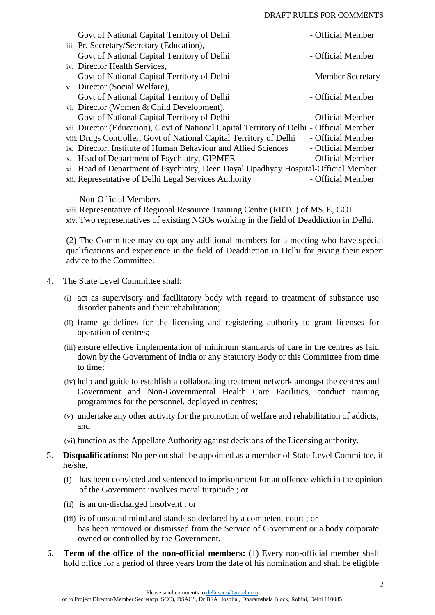#### DRAFT RULES FOR COMMENTS

| Govt of National Capital Territory of Delhi                                              | - Official Member  |
|------------------------------------------------------------------------------------------|--------------------|
| iii. Pr. Secretary/Secretary (Education),                                                |                    |
| Govt of National Capital Territory of Delhi                                              | - Official Member  |
| iv. Director Health Services,                                                            |                    |
| Govt of National Capital Territory of Delhi                                              | - Member Secretary |
| v. Director (Social Welfare),                                                            |                    |
| Govt of National Capital Territory of Delhi                                              | - Official Member  |
| vi. Director (Women & Child Development),                                                |                    |
| Govt of National Capital Territory of Delhi                                              | - Official Member  |
| vii. Director (Education), Govt of National Capital Territory of Delhi - Official Member |                    |
| viii. Drugs Controller, Govt of National Capital Territory of Delhi                      | - Official Member  |
| ix. Director, Institute of Human Behaviour and Allied Sciences                           | - Official Member  |
| x. Head of Department of Psychiatry, GIPMER                                              | - Official Member  |
| xi. Head of Department of Psychiatry, Deen Dayal Upadhyay Hospital-Official Member       |                    |
| xii. Representative of Delhi Legal Services Authority                                    | - Official Member  |
|                                                                                          |                    |

Non-Official Members

xiii. Representative of Regional Resource Training Centre (RRTC) of MSJE, GOI xiv. Two representatives of existing NGOs working in the field of Deaddiction in Delhi.

(2) The Committee may co-opt any additional members for a meeting who have special qualifications and experience in the field of Deaddiction in Delhi for giving their expert advice to the Committee.

- 4. The State Level Committee shall:
	- (i) act as supervisory and facilitatory body with regard to treatment of substance use disorder patients and their rehabilitation;
	- (ii) frame guidelines for the licensing and registering authority to grant licenses for operation of centres;
	- (iii) ensure effective implementation of minimum standards of care in the centres as laid down by the Government of India or any Statutory Body or this Committee from time to time;
	- (iv) help and guide to establish a collaborating treatment network amongst the centres and Government and Non-Governmental Health Care Facilities, conduct training programmes for the personnel, deployed in centres;
	- (v) undertake any other activity for the promotion of welfare and rehabilitation of addicts; and
	- (vi) function as the Appellate Authority against decisions of the Licensing authority.
- 5. **Disqualifications:** No person shall be appointed as a member of State Level Committee, if he/she,
	- (i) has been convicted and sentenced to imprisonment for an offence which in the opinion of the Government involves moral turpitude ; or
	- (ii) is an un-discharged insolvent ; or
	- (iii) is of unsound mind and stands so declared by a competent court ; or has been removed or dismissed from the Service of Government or a body corporate owned or controlled by the Government.
- 6. **Term of the office of the non-official members:** (1) Every non-official member shall hold office for a period of three years from the date of his nomination and shall be eligible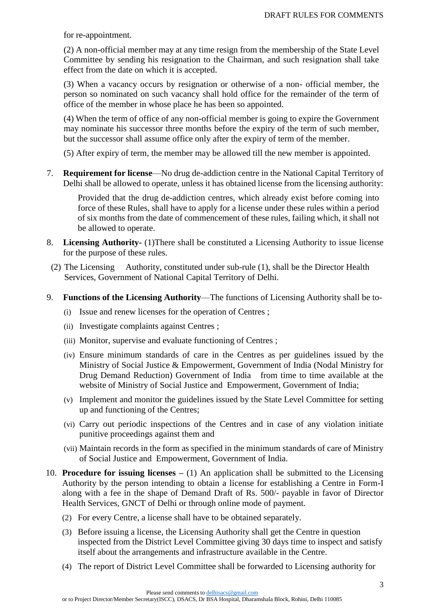for re-appointment.

(2) A non-official member may at any time resign from the membership of the State Level Committee by sending his resignation to the Chairman, and such resignation shall take effect from the date on which it is accepted.

(3) When a vacancy occurs by resignation or otherwise of a non- official member, the person so nominated on such vacancy shall hold office for the remainder of the term of office of the member in whose place he has been so appointed.

(4) When the term of office of any non-official member is going to expire the Government may nominate his successor three months before the expiry of the term of such member, but the successor shall assume office only after the expiry of term of the member.

(5) After expiry of term, the member may be allowed till the new member is appointed.

7. **Requirement for license**—No drug de-addiction centre in the National Capital Territory of Delhi shall be allowed to operate, unless it has obtained license from the licensing authority:

Provided that the drug de-addiction centres, which already exist before coming into force of these Rules, shall have to apply for a license under these rules within a period of six months from the date of commencement of these rules, failing which, it shall not be allowed to operate.

- 8. **Licensing Authority-** (1)There shall be constituted a Licensing Authority to issue license for the purpose of these rules.
- (2) The Licensing Authority, constituted under sub-rule (1), shall be the Director Health Services, Government of National Capital Territory of Delhi.
- 9. **Functions of the Licensing Authority**—The functions of Licensing Authority shall be to-
	- (i) Issue and renew licenses for the operation of Centres ;
	- (ii) Investigate complaints against Centres ;
	- (iii) Monitor, supervise and evaluate functioning of Centres ;
	- (iv) Ensure minimum standards of care in the Centres as per guidelines issued by the Ministry of Social Justice & Empowerment, Government of India (Nodal Ministry for Drug Demand Reduction) Government of India from time to time available at the website of Ministry of Social Justice and Empowerment, Government of India;
	- (v) Implement and monitor the guidelines issued by the State Level Committee for setting up and functioning of the Centres;
	- (vi) Carry out periodic inspections of the Centres and in case of any violation initiate punitive proceedings against them and
	- (vii) Maintain records in the form as specified in the minimum standards of care of Ministry of Social Justice and Empowerment, Government of India.
- 10. **Procedure for issuing licenses –** (1) An application shall be submitted to the Licensing Authority by the person intending to obtain a license for establishing a Centre in Form-I along with a fee in the shape of Demand Draft of Rs. 500/- payable in favor of Director Health Services, GNCT of Delhi or through online mode of payment.
	- (2) For every Centre, a license shall have to be obtained separately.
	- (3) Before issuing a license, the Licensing Authority shall get the Centre in question inspected from the District Level Committee giving 30 days time to inspect and satisfy itself about the arrangements and infrastructure available in the Centre.
	- (4) The report of District Level Committee shall be forwarded to Licensing authority for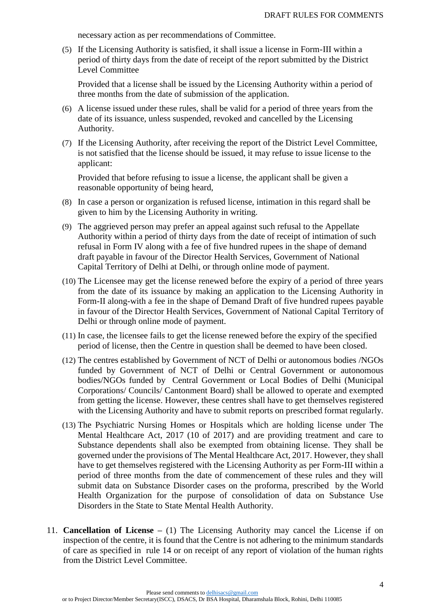necessary action as per recommendations of Committee.

(5) If the Licensing Authority is satisfied, it shall issue a license in Form-III within a period of thirty days from the date of receipt of the report submitted by the District Level Committee

Provided that a license shall be issued by the Licensing Authority within a period of three months from the date of submission of the application.

- (6) A license issued under these rules, shall be valid for a period of three years from the date of its issuance, unless suspended, revoked and cancelled by the Licensing Authority.
- (7) If the Licensing Authority, after receiving the report of the District Level Committee, is not satisfied that the license should be issued, it may refuse to issue license to the applicant:

Provided that before refusing to issue a license, the applicant shall be given a reasonable opportunity of being heard,

- (8) In case a person or organization is refused license, intimation in this regard shall be given to him by the Licensing Authority in writing.
- (9) The aggrieved person may prefer an appeal against such refusal to the Appellate Authority within a period of thirty days from the date of receipt of intimation of such refusal in Form IV along with a fee of five hundred rupees in the shape of demand draft payable in favour of the Director Health Services, Government of National Capital Territory of Delhi at Delhi, or through online mode of payment.
- (10) The Licensee may get the license renewed before the expiry of a period of three years from the date of its issuance by making an application to the Licensing Authority in Form-II along-with a fee in the shape of Demand Draft of five hundred rupees payable in favour of the Director Health Services, Government of National Capital Territory of Delhi or through online mode of payment.
- (11) In case, the licensee fails to get the license renewed before the expiry of the specified period of license, then the Centre in question shall be deemed to have been closed.
- (12) The centres established by Government of NCT of Delhi or autonomous bodies /NGOs funded by Government of NCT of Delhi or Central Government or autonomous bodies/NGOs funded by Central Government or Local Bodies of Delhi (Municipal Corporations/ Councils/ Cantonment Board) shall be allowed to operate and exempted from getting the license. However, these centres shall have to get themselves registered with the Licensing Authority and have to submit reports on prescribed format regularly.
- (13) The Psychiatric Nursing Homes or Hospitals which are holding license under The Mental Healthcare Act, 2017 (10 of 2017) and are providing treatment and care to Substance dependents shall also be exempted from obtaining license. They shall be governed under the provisions of The Mental Healthcare Act, 2017. However, they shall have to get themselves registered with the Licensing Authority as per Form-III within a period of three months from the date of commencement of these rules and they will submit data on Substance Disorder cases on the proforma, prescribed by the World Health Organization for the purpose of consolidation of data on Substance Use Disorders in the State to State Mental Health Authority.
- 11. **Cancellation of License –** (1) The Licensing Authority may cancel the License if on inspection of the centre, it is found that the Centre is not adhering to the minimum standards of care as specified in rule 14 or on receipt of any report of violation of the human rights from the District Level Committee.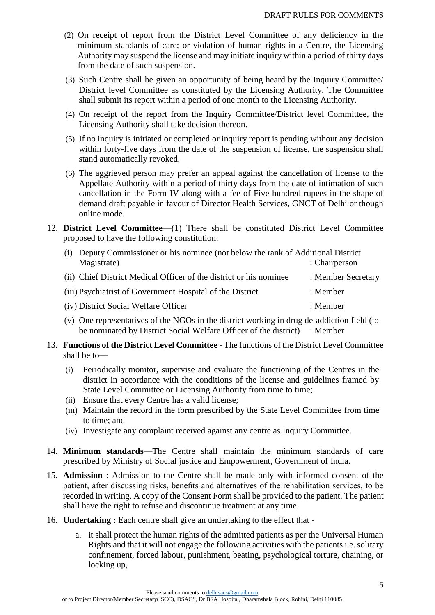- (2) On receipt of report from the District Level Committee of any deficiency in the minimum standards of care; or violation of human rights in a Centre, the Licensing Authority may suspend the license and may initiate inquiry within a period of thirty days from the date of such suspension.
- (3) Such Centre shall be given an opportunity of being heard by the Inquiry Committee/ District level Committee as constituted by the Licensing Authority. The Committee shall submit its report within a period of one month to the Licensing Authority.
- (4) On receipt of the report from the Inquiry Committee/District level Committee, the Licensing Authority shall take decision thereon.
- (5) If no inquiry is initiated or completed or inquiry report is pending without any decision within forty-five days from the date of the suspension of license, the suspension shall stand automatically revoked.
- (6) The aggrieved person may prefer an appeal against the cancellation of license to the Appellate Authority within a period of thirty days from the date of intimation of such cancellation in the Form-IV along with a fee of Five hundred rupees in the shape of demand draft payable in favour of Director Health Services, GNCT of Delhi or though online mode.
- 12. **District Level Committee**—(1) There shall be constituted District Level Committee proposed to have the following constitution:

| (i) Deputy Commissioner or his nominee (not below the rank of Additional District |                    |  |  |  |
|-----------------------------------------------------------------------------------|--------------------|--|--|--|
| Magistrate)                                                                       | : Chairperson      |  |  |  |
| (ii) Chief District Medical Officer of the district or his nominee                | : Member Secretary |  |  |  |
| (iii) Psychiatrist of Government Hospital of the District                         | : Member           |  |  |  |
| (iv) District Social Welfare Officer                                              | : Member           |  |  |  |
|                                                                                   |                    |  |  |  |

- (v) One representatives of the NGOs in the district working in drug de-addiction field (to be nominated by District Social Welfare Officer of the district) : Member
- 13. **Functions of the District Level Committee** The functions of the District Level Committee shall be to—
	- (i) Periodically monitor, supervise and evaluate the functioning of the Centres in the district in accordance with the conditions of the license and guidelines framed by State Level Committee or Licensing Authority from time to time;
	- (ii) Ensure that every Centre has a valid license;
	- (iii) Maintain the record in the form prescribed by the State Level Committee from time to time; and
	- (iv) Investigate any complaint received against any centre as Inquiry Committee.
- 14. **Minimum standards**—The Centre shall maintain the minimum standards of care prescribed by Ministry of Social justice and Empowerment, Government of India.
- 15. **Admission** : Admission to the Centre shall be made only with informed consent of the patient, after discussing risks, benefits and alternatives of the rehabilitation services, to be recorded in writing. A copy of the Consent Form shall be provided to the patient. The patient shall have the right to refuse and discontinue treatment at any time.
- 16. **Undertaking :** Each centre shall give an undertaking to the effect that
	- a. it shall protect the human rights of the admitted patients as per the Universal Human Rights and that it will not engage the following activities with the patients i.e. solitary confinement, forced labour, punishment, beating, psychological torture, chaining, or locking up,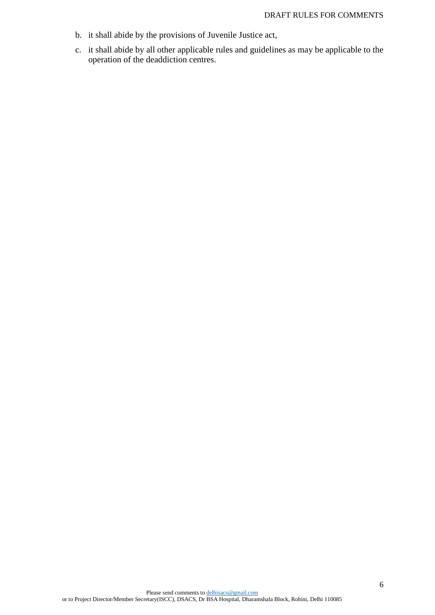- b. it shall abide by the provisions of Juvenile Justice act,
- c. it shall abide by all other applicable rules and guidelines as may be applicable to the operation of the deaddiction centres.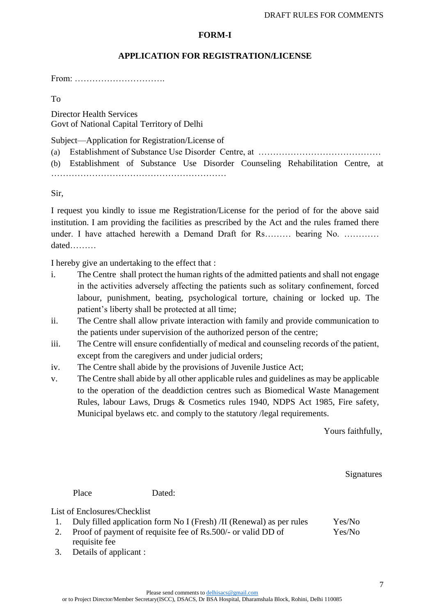# **FORM-I**

# **APPLICATION FOR REGISTRATION/LICENSE**

From: ………………………….

To

Director Health Services Govt of National Capital Territory of Delhi

Subject—Application for Registration/License of

|  |  |  | (b) Establishment of Substance Use Disorder Counseling Rehabilitation Centre, at |  |
|--|--|--|----------------------------------------------------------------------------------|--|
|  |  |  |                                                                                  |  |

Sir,

I request you kindly to issue me Registration/License for the period of for the above said institution. I am providing the facilities as prescribed by the Act and the rules framed there under. I have attached herewith a Demand Draft for Rs……… bearing No. ………… dated………

I hereby give an undertaking to the effect that :

- i. The Centre shall protect the human rights of the admitted patients and shall not engage in the activities adversely affecting the patients such as solitary confinement, forced labour, punishment, beating, psychological torture, chaining or locked up. The patient's liberty shall be protected at all time;
- ii. The Centre shall allow private interaction with family and provide communication to the patients under supervision of the authorized person of the centre;
- iii. The Centre will ensure confidentially of medical and counseling records of the patient, except from the caregivers and under judicial orders;
- iv. The Centre shall abide by the provisions of Juvenile Justice Act;
- v. The Centre shall abide by all other applicable rules and guidelines as may be applicable to the operation of the deaddiction centres such as Biomedical Waste Management Rules, labour Laws, Drugs & Cosmetics rules 1940, NDPS Act 1985, Fire safety, Municipal byelaws etc. and comply to the statutory /legal requirements.

Yours faithfully,

**Signatures** 

Place Dated:

List of Enclosures/Checklist

| Duly filled application form No I (Fresh) /II (Renewal) as per rules | Yes/No |
|----------------------------------------------------------------------|--------|
| Proof of payment of requisite fee of Rs.500/- or valid DD of         | Yes/No |

- 2. Proof of payment of requisite fee of Rs.500/- or valid DD of requisite fee
- 3. Details of applicant :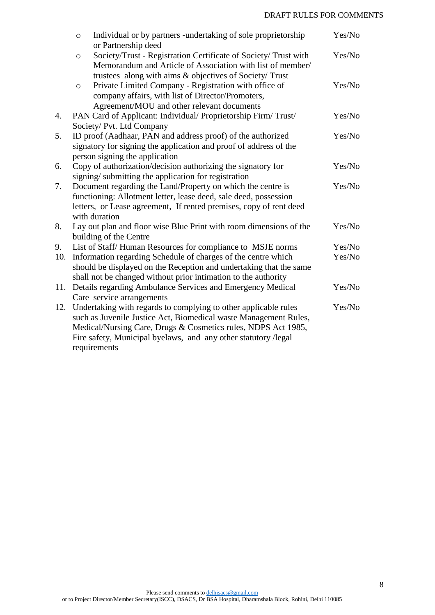# DRAFT RULES FOR COMMENTS

|     | $\circ$                                                               | Individual or by partners -undertaking of sole proprietorship      | Yes/No |  |  |  |  |
|-----|-----------------------------------------------------------------------|--------------------------------------------------------------------|--------|--|--|--|--|
|     |                                                                       | or Partnership deed                                                |        |  |  |  |  |
|     | $\circ$                                                               | Society/Trust - Registration Certificate of Society/ Trust with    | Yes/No |  |  |  |  |
|     |                                                                       | Memorandum and Article of Association with list of member/         |        |  |  |  |  |
|     |                                                                       | trustees along with aims & objectives of Society/ Trust            |        |  |  |  |  |
|     | $\circ$                                                               | Private Limited Company - Registration with office of              | Yes/No |  |  |  |  |
|     |                                                                       | company affairs, with list of Director/Promoters,                  |        |  |  |  |  |
|     |                                                                       | Agreement/MOU and other relevant documents                         |        |  |  |  |  |
| 4.  |                                                                       | PAN Card of Applicant: Individual/ Proprietorship Firm/ Trust/     | Yes/No |  |  |  |  |
|     |                                                                       | Society/ Pvt. Ltd Company                                          |        |  |  |  |  |
| 5.  |                                                                       | ID proof (Aadhaar, PAN and address proof) of the authorized        | Yes/No |  |  |  |  |
|     |                                                                       | signatory for signing the application and proof of address of the  |        |  |  |  |  |
|     |                                                                       | person signing the application                                     |        |  |  |  |  |
| 6.  |                                                                       | Copy of authorization/decision authorizing the signatory for       | Yes/No |  |  |  |  |
|     |                                                                       | signing/submitting the application for registration                |        |  |  |  |  |
| 7.  | Document regarding the Land/Property on which the centre is<br>Yes/No |                                                                    |        |  |  |  |  |
|     | functioning: Allotment letter, lease deed, sale deed, possession      |                                                                    |        |  |  |  |  |
|     |                                                                       | letters, or Lease agreement, If rented premises, copy of rent deed |        |  |  |  |  |
|     |                                                                       | with duration                                                      |        |  |  |  |  |
| 8.  |                                                                       | Lay out plan and floor wise Blue Print with room dimensions of the | Yes/No |  |  |  |  |
|     |                                                                       | building of the Centre                                             |        |  |  |  |  |
| 9.  |                                                                       | List of Staff/Human Resources for compliance to MSJE norms         | Yes/No |  |  |  |  |
| 10. |                                                                       | Information regarding Schedule of charges of the centre which      | Yes/No |  |  |  |  |
|     |                                                                       | should be displayed on the Reception and undertaking that the same |        |  |  |  |  |
|     |                                                                       | shall not be changed without prior intimation to the authority     |        |  |  |  |  |
| 11. |                                                                       | Details regarding Ambulance Services and Emergency Medical         | Yes/No |  |  |  |  |
|     |                                                                       | Care service arrangements                                          |        |  |  |  |  |
| 12. |                                                                       | Undertaking with regards to complying to other applicable rules    | Yes/No |  |  |  |  |
|     |                                                                       | such as Juvenile Justice Act, Biomedical waste Management Rules,   |        |  |  |  |  |
|     |                                                                       | Medical/Nursing Care, Drugs & Cosmetics rules, NDPS Act 1985,      |        |  |  |  |  |
|     |                                                                       | Fire safety, Municipal byelaws, and any other statutory /legal     |        |  |  |  |  |
|     |                                                                       |                                                                    |        |  |  |  |  |
|     |                                                                       | requirements                                                       |        |  |  |  |  |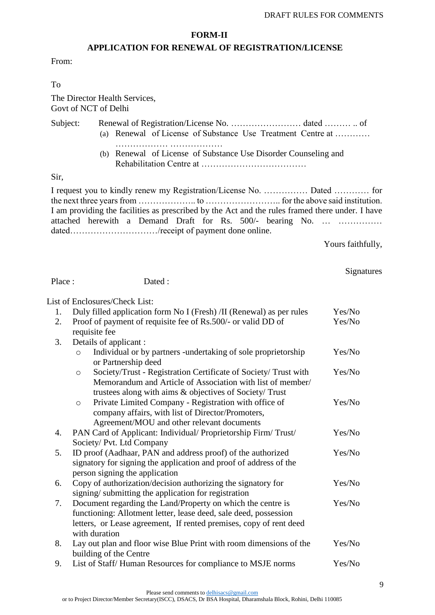### **FORM-II**

# **APPLICATION FOR RENEWAL OF REGISTRATION/LICENSE**

From:

To

The Director Health Services, Govt of NCT of Delhi

Subject: Renewal of Registration/License No. …………………… dated ……… .. of (a) Renewal of License of Substance Use Treatment Centre at ………… ……………… ……………… (b) Renewal of License of Substance Use Disorder Counseling and

Rehabilitation Centre at ………………………………

Sir,

I request you to kindly renew my Registration/License No. …………… Dated ………… for the next three years from ……………….. to …………………….. for the above said institution. I am providing the facilities as prescribed by the Act and the rules framed there under. I have attached herewith a Demand Draft for Rs. 500/- bearing No. … …………… dated………………………………/receipt of payment done online.

Yours faithfully,

# **Signatures**

Place : Dated :

List of Enclosures/Check List:

| 1. | Duly filled application form No I (Fresh) /II (Renewal) as per rules                                                                     | Yes/No |  |  |  |
|----|------------------------------------------------------------------------------------------------------------------------------------------|--------|--|--|--|
| 2. | Proof of payment of requisite fee of Rs.500/- or valid DD of                                                                             | Yes/No |  |  |  |
|    | requisite fee                                                                                                                            |        |  |  |  |
| 3. | Details of applicant:                                                                                                                    |        |  |  |  |
|    | Individual or by partners -undertaking of sole proprietorship<br>$\circ$<br>or Partnership deed                                          | Yes/No |  |  |  |
|    | Society/Trust - Registration Certificate of Society/ Trust with<br>$\circ$<br>Memorandum and Article of Association with list of member/ | Yes/No |  |  |  |
|    | trustees along with aims & objectives of Society/ Trust                                                                                  |        |  |  |  |
|    | Private Limited Company - Registration with office of<br>$\circ$                                                                         | Yes/No |  |  |  |
|    | company affairs, with list of Director/Promoters,                                                                                        |        |  |  |  |
|    | Agreement/MOU and other relevant documents                                                                                               |        |  |  |  |
| 4. | PAN Card of Applicant: Individual/ Proprietorship Firm/ Trust/                                                                           | Yes/No |  |  |  |
|    | Society/ Pvt. Ltd Company                                                                                                                |        |  |  |  |
| 5. | ID proof (Aadhaar, PAN and address proof) of the authorized                                                                              | Yes/No |  |  |  |
|    | signatory for signing the application and proof of address of the                                                                        |        |  |  |  |
|    | person signing the application                                                                                                           |        |  |  |  |
| 6. | Copy of authorization/decision authorizing the signatory for                                                                             | Yes/No |  |  |  |
|    | signing/submitting the application for registration                                                                                      |        |  |  |  |
| 7. | Document regarding the Land/Property on which the centre is                                                                              | Yes/No |  |  |  |
|    | functioning: Allotment letter, lease deed, sale deed, possession                                                                         |        |  |  |  |
|    | letters, or Lease agreement, If rented premises, copy of rent deed                                                                       |        |  |  |  |
|    | with duration                                                                                                                            |        |  |  |  |
| 8. | Lay out plan and floor wise Blue Print with room dimensions of the                                                                       | Yes/No |  |  |  |
|    | building of the Centre                                                                                                                   |        |  |  |  |
| 9. | List of Staff/Human Resources for compliance to MSJE norms                                                                               | Yes/No |  |  |  |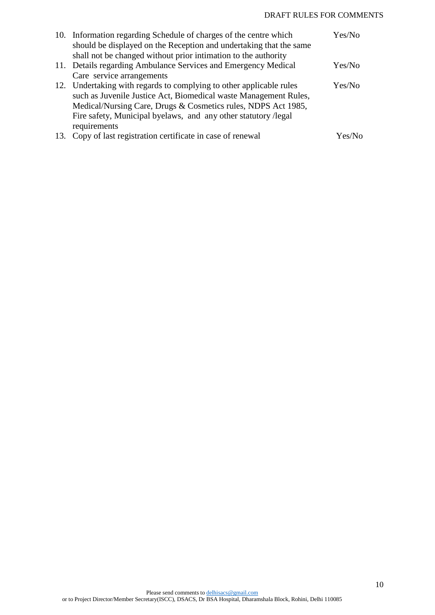|     | 10. Information regarding Schedule of charges of the centre which   | Yes/No |
|-----|---------------------------------------------------------------------|--------|
|     | should be displayed on the Reception and undertaking that the same  |        |
|     | shall not be changed without prior intimation to the authority      |        |
|     | 11. Details regarding Ambulance Services and Emergency Medical      | Yes/No |
|     | Care service arrangements                                           |        |
|     | 12. Undertaking with regards to complying to other applicable rules | Yes/No |
|     | such as Juvenile Justice Act, Biomedical waste Management Rules,    |        |
|     | Medical/Nursing Care, Drugs & Cosmetics rules, NDPS Act 1985,       |        |
|     | Fire safety, Municipal byelaws, and any other statutory / legal     |        |
|     | requirements                                                        |        |
| 13. | Copy of last registration certificate in case of renewal            | Yes/No |

10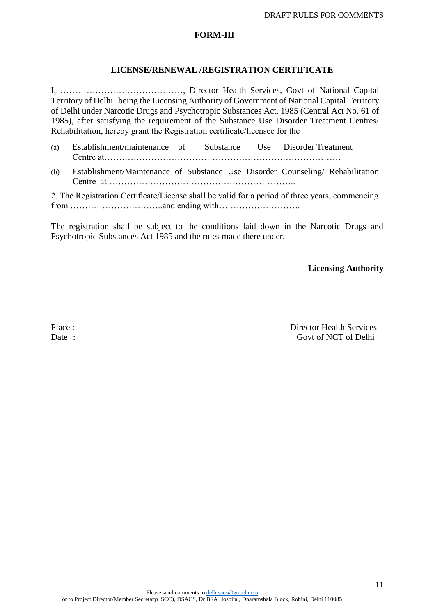# **FORM**-**III**

# **LICENSE/RENEWAL /REGISTRATION CERTIFICATE**

I, ……………………………………, Director Health Services, Govt of National Capital Territory of Delhi being the Licensing Authority of Government of National Capital Territory of Delhi under Narcotic Drugs and Psychotropic Substances Act, 1985 (Central Act No. 61 of 1985), after satisfying the requirement of the Substance Use Disorder Treatment Centres/ Rehabilitation, hereby grant the Registration certificate/licensee for the

(a) Establishment/maintenance of Substance Use Disorder Treatment Centre at……………………………………………………………………… (b) Establishment/Maintenance of Substance Use Disorder Counseling/ Rehabilitation Centre at……………………………………………………….. 2. The Registration Certificate/License shall be valid for a period of three years, commencing

from …………………………..and ending with……………………….

The registration shall be subject to the conditions laid down in the Narcotic Drugs and Psychotropic Substances Act 1985 and the rules made there under.

**Licensing Authority**

Place : Director Health Services Date : Govt of NCT of Delhi